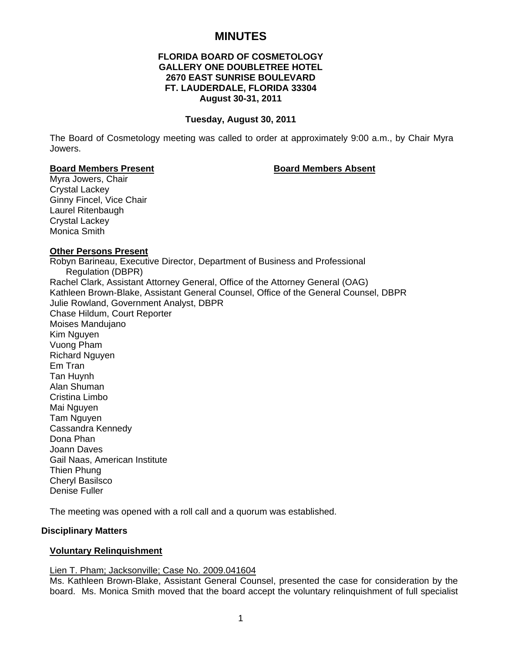# **MINUTES**

# **FLORIDA BOARD OF COSMETOLOGY GALLERY ONE DOUBLETREE HOTEL 2670 EAST SUNRISE BOULEVARD FT. LAUDERDALE, FLORIDA 33304 August 30-31, 2011**

#### **Tuesday, August 30, 2011**

The Board of Cosmetology meeting was called to order at approximately 9:00 a.m., by Chair Myra Jowers.

#### **Board Members Present Communist Board Members Absent**

Myra Jowers, Chair Crystal Lackey Ginny Fincel, Vice Chair Laurel Ritenbaugh Crystal Lackey Monica Smith

# **Other Persons Present**

Robyn Barineau, Executive Director, Department of Business and Professional Regulation (DBPR) Rachel Clark, Assistant Attorney General, Office of the Attorney General (OAG) Kathleen Brown-Blake, Assistant General Counsel, Office of the General Counsel, DBPR Julie Rowland, Government Analyst, DBPR Chase Hildum, Court Reporter Moises Mandujano Kim Nguyen Vuong Pham Richard Nguyen Em Tran Tan Huynh Alan Shuman Cristina Limbo Mai Nguyen Tam Nguyen Cassandra Kennedy Dona Phan Joann Daves Gail Naas, American Institute Thien Phung Cheryl Basilsco Denise Fuller

The meeting was opened with a roll call and a quorum was established.

#### **Disciplinary Matters**

# **Voluntary Relinquishment**

#### Lien T. Pham; Jacksonville; Case No. 2009.041604

Ms. Kathleen Brown-Blake, Assistant General Counsel, presented the case for consideration by the board. Ms. Monica Smith moved that the board accept the voluntary relinquishment of full specialist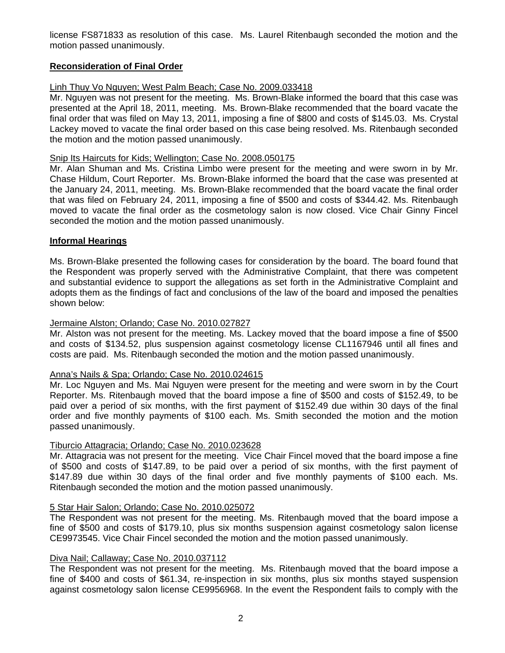license FS871833 as resolution of this case. Ms. Laurel Ritenbaugh seconded the motion and the motion passed unanimously.

# **Reconsideration of Final Order**

# Linh Thuy Vo Nguyen; West Palm Beach; Case No. 2009.033418

Mr. Nguyen was not present for the meeting. Ms. Brown-Blake informed the board that this case was presented at the April 18, 2011, meeting. Ms. Brown-Blake recommended that the board vacate the final order that was filed on May 13, 2011, imposing a fine of \$800 and costs of \$145.03. Ms. Crystal Lackey moved to vacate the final order based on this case being resolved. Ms. Ritenbaugh seconded the motion and the motion passed unanimously.

## Snip Its Haircuts for Kids; Wellington; Case No. 2008.050175

Mr. Alan Shuman and Ms. Cristina Limbo were present for the meeting and were sworn in by Mr. Chase Hildum, Court Reporter. Ms. Brown-Blake informed the board that the case was presented at the January 24, 2011, meeting. Ms. Brown-Blake recommended that the board vacate the final order that was filed on February 24, 2011, imposing a fine of \$500 and costs of \$344.42. Ms. Ritenbaugh moved to vacate the final order as the cosmetology salon is now closed. Vice Chair Ginny Fincel seconded the motion and the motion passed unanimously.

# **Informal Hearings**

Ms. Brown-Blake presented the following cases for consideration by the board. The board found that the Respondent was properly served with the Administrative Complaint, that there was competent and substantial evidence to support the allegations as set forth in the Administrative Complaint and adopts them as the findings of fact and conclusions of the law of the board and imposed the penalties shown below:

# Jermaine Alston; Orlando; Case No. 2010.027827

Mr. Alston was not present for the meeting. Ms. Lackey moved that the board impose a fine of \$500 and costs of \$134.52, plus suspension against cosmetology license CL1167946 until all fines and costs are paid. Ms. Ritenbaugh seconded the motion and the motion passed unanimously.

#### Anna's Nails & Spa; Orlando; Case No. 2010.024615

Mr. Loc Nguyen and Ms. Mai Nguyen were present for the meeting and were sworn in by the Court Reporter. Ms. Ritenbaugh moved that the board impose a fine of \$500 and costs of \$152.49, to be paid over a period of six months, with the first payment of \$152.49 due within 30 days of the final order and five monthly payments of \$100 each. Ms. Smith seconded the motion and the motion passed unanimously.

# Tiburcio Attagracia; Orlando; Case No. 2010.023628

Mr. Attagracia was not present for the meeting. Vice Chair Fincel moved that the board impose a fine of \$500 and costs of \$147.89, to be paid over a period of six months, with the first payment of \$147.89 due within 30 days of the final order and five monthly payments of \$100 each. Ms. Ritenbaugh seconded the motion and the motion passed unanimously.

#### 5 Star Hair Salon; Orlando; Case No. 2010.025072

The Respondent was not present for the meeting. Ms. Ritenbaugh moved that the board impose a fine of \$500 and costs of \$179.10, plus six months suspension against cosmetology salon license CE9973545. Vice Chair Fincel seconded the motion and the motion passed unanimously.

## Diva Nail; Callaway; Case No. 2010.037112

The Respondent was not present for the meeting. Ms. Ritenbaugh moved that the board impose a fine of \$400 and costs of \$61.34, re-inspection in six months, plus six months stayed suspension against cosmetology salon license CE9956968. In the event the Respondent fails to comply with the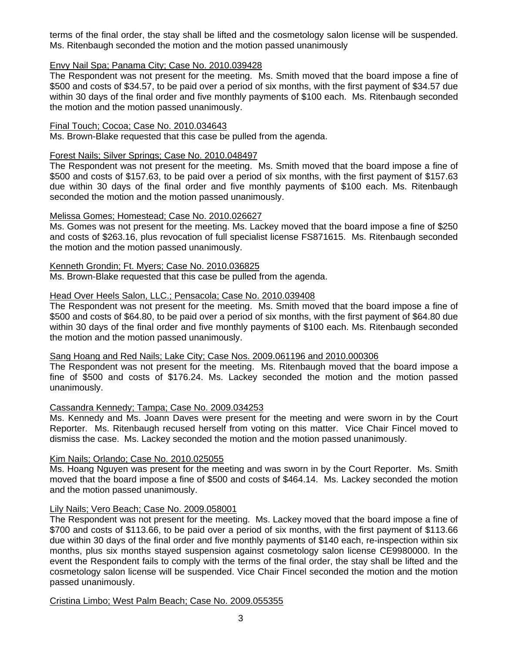terms of the final order, the stay shall be lifted and the cosmetology salon license will be suspended. Ms. Ritenbaugh seconded the motion and the motion passed unanimously

# Envy Nail Spa; Panama City; Case No. 2010.039428

The Respondent was not present for the meeting. Ms. Smith moved that the board impose a fine of \$500 and costs of \$34.57, to be paid over a period of six months, with the first payment of \$34.57 due within 30 days of the final order and five monthly payments of \$100 each. Ms. Ritenbaugh seconded the motion and the motion passed unanimously.

## Final Touch; Cocoa; Case No. 2010.034643

Ms. Brown-Blake requested that this case be pulled from the agenda.

## Forest Nails; Silver Springs; Case No. 2010.048497

The Respondent was not present for the meeting. Ms. Smith moved that the board impose a fine of \$500 and costs of \$157.63, to be paid over a period of six months, with the first payment of \$157.63 due within 30 days of the final order and five monthly payments of \$100 each. Ms. Ritenbaugh seconded the motion and the motion passed unanimously.

#### Melissa Gomes; Homestead; Case No. 2010.026627

Ms. Gomes was not present for the meeting. Ms. Lackey moved that the board impose a fine of \$250 and costs of \$263.16, plus revocation of full specialist license FS871615. Ms. Ritenbaugh seconded the motion and the motion passed unanimously.

#### Kenneth Grondin; Ft. Myers; Case No. 2010.036825

Ms. Brown-Blake requested that this case be pulled from the agenda.

# Head Over Heels Salon, LLC.; Pensacola; Case No. 2010.039408

The Respondent was not present for the meeting. Ms. Smith moved that the board impose a fine of \$500 and costs of \$64.80, to be paid over a period of six months, with the first payment of \$64.80 due within 30 days of the final order and five monthly payments of \$100 each. Ms. Ritenbaugh seconded the motion and the motion passed unanimously.

# Sang Hoang and Red Nails; Lake City; Case Nos. 2009.061196 and 2010.000306

The Respondent was not present for the meeting. Ms. Ritenbaugh moved that the board impose a fine of \$500 and costs of \$176.24. Ms. Lackey seconded the motion and the motion passed unanimously.

# Cassandra Kennedy; Tampa; Case No. 2009.034253

Ms. Kennedy and Ms. Joann Daves were present for the meeting and were sworn in by the Court Reporter. Ms. Ritenbaugh recused herself from voting on this matter. Vice Chair Fincel moved to dismiss the case. Ms. Lackey seconded the motion and the motion passed unanimously.

#### Kim Nails; Orlando; Case No. 2010.025055

Ms. Hoang Nguyen was present for the meeting and was sworn in by the Court Reporter. Ms. Smith moved that the board impose a fine of \$500 and costs of \$464.14. Ms. Lackey seconded the motion and the motion passed unanimously.

#### Lily Nails; Vero Beach; Case No. 2009.058001

The Respondent was not present for the meeting. Ms. Lackey moved that the board impose a fine of \$700 and costs of \$113.66, to be paid over a period of six months, with the first payment of \$113.66 due within 30 days of the final order and five monthly payments of \$140 each, re-inspection within six months, plus six months stayed suspension against cosmetology salon license CE9980000. In the event the Respondent fails to comply with the terms of the final order, the stay shall be lifted and the cosmetology salon license will be suspended. Vice Chair Fincel seconded the motion and the motion passed unanimously.

#### Cristina Limbo; West Palm Beach; Case No. 2009.055355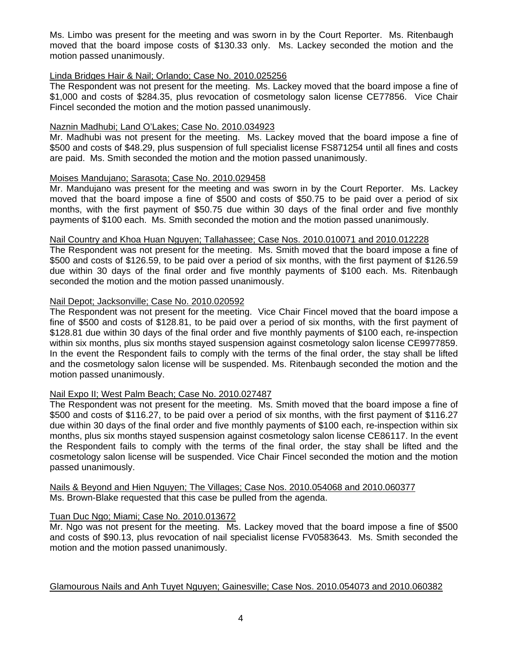Ms. Limbo was present for the meeting and was sworn in by the Court Reporter. Ms. Ritenbaugh moved that the board impose costs of \$130.33 only. Ms. Lackey seconded the motion and the motion passed unanimously.

# Linda Bridges Hair & Nail; Orlando; Case No. 2010.025256

The Respondent was not present for the meeting. Ms. Lackey moved that the board impose a fine of \$1,000 and costs of \$284.35, plus revocation of cosmetology salon license CE77856. Vice Chair Fincel seconded the motion and the motion passed unanimously.

## Naznin Madhubi; Land O'Lakes; Case No. 2010.034923

Mr. Madhubi was not present for the meeting. Ms. Lackey moved that the board impose a fine of \$500 and costs of \$48.29, plus suspension of full specialist license FS871254 until all fines and costs are paid. Ms. Smith seconded the motion and the motion passed unanimously.

# Moises Mandujano; Sarasota; Case No. 2010.029458

Mr. Mandujano was present for the meeting and was sworn in by the Court Reporter. Ms. Lackey moved that the board impose a fine of \$500 and costs of \$50.75 to be paid over a period of six months, with the first payment of \$50.75 due within 30 days of the final order and five monthly payments of \$100 each. Ms. Smith seconded the motion and the motion passed unanimously.

# Nail Country and Khoa Huan Nguyen; Tallahassee; Case Nos. 2010.010071 and 2010.012228

The Respondent was not present for the meeting. Ms. Smith moved that the board impose a fine of \$500 and costs of \$126.59, to be paid over a period of six months, with the first payment of \$126.59 due within 30 days of the final order and five monthly payments of \$100 each. Ms. Ritenbaugh seconded the motion and the motion passed unanimously.

# Nail Depot; Jacksonville; Case No. 2010.020592

The Respondent was not present for the meeting. Vice Chair Fincel moved that the board impose a fine of \$500 and costs of \$128.81, to be paid over a period of six months, with the first payment of \$128.81 due within 30 days of the final order and five monthly payments of \$100 each, re-inspection within six months, plus six months stayed suspension against cosmetology salon license CE9977859. In the event the Respondent fails to comply with the terms of the final order, the stay shall be lifted and the cosmetology salon license will be suspended. Ms. Ritenbaugh seconded the motion and the motion passed unanimously.

# Nail Expo II; West Palm Beach; Case No. 2010.027487

The Respondent was not present for the meeting. Ms. Smith moved that the board impose a fine of \$500 and costs of \$116.27, to be paid over a period of six months, with the first payment of \$116.27 due within 30 days of the final order and five monthly payments of \$100 each, re-inspection within six months, plus six months stayed suspension against cosmetology salon license CE86117. In the event the Respondent fails to comply with the terms of the final order, the stay shall be lifted and the cosmetology salon license will be suspended. Vice Chair Fincel seconded the motion and the motion passed unanimously.

Nails & Beyond and Hien Nguyen; The Villages; Case Nos. 2010.054068 and 2010.060377 Ms. Brown-Blake requested that this case be pulled from the agenda.

# Tuan Duc Ngo; Miami; Case No. 2010.013672

Mr. Ngo was not present for the meeting. Ms. Lackey moved that the board impose a fine of \$500 and costs of \$90.13, plus revocation of nail specialist license FV0583643. Ms. Smith seconded the motion and the motion passed unanimously.

#### Glamourous Nails and Anh Tuyet Nguyen; Gainesville; Case Nos. 2010.054073 and 2010.060382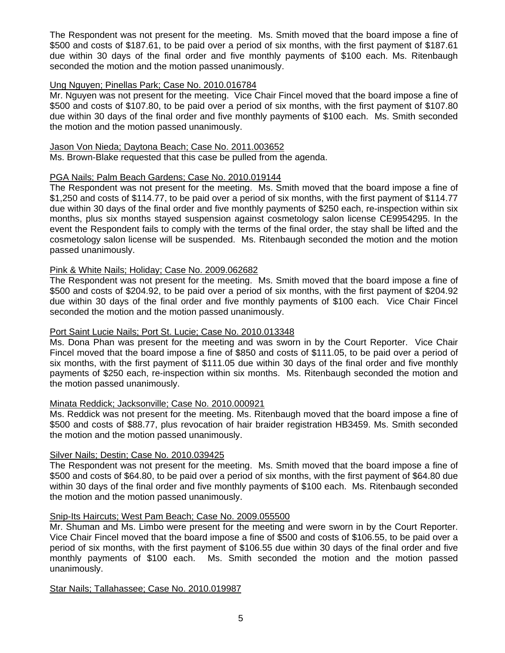The Respondent was not present for the meeting. Ms. Smith moved that the board impose a fine of \$500 and costs of \$187.61, to be paid over a period of six months, with the first payment of \$187.61 due within 30 days of the final order and five monthly payments of \$100 each. Ms. Ritenbaugh seconded the motion and the motion passed unanimously.

# Ung Nguyen; Pinellas Park; Case No. 2010.016784

Mr. Nguyen was not present for the meeting. Vice Chair Fincel moved that the board impose a fine of \$500 and costs of \$107.80, to be paid over a period of six months, with the first payment of \$107.80 due within 30 days of the final order and five monthly payments of \$100 each. Ms. Smith seconded the motion and the motion passed unanimously.

# Jason Von Nieda; Daytona Beach; Case No. 2011.003652

Ms. Brown-Blake requested that this case be pulled from the agenda.

# PGA Nails; Palm Beach Gardens; Case No. 2010.019144

The Respondent was not present for the meeting. Ms. Smith moved that the board impose a fine of \$1,250 and costs of \$114.77, to be paid over a period of six months, with the first payment of \$114.77 due within 30 days of the final order and five monthly payments of \$250 each, re-inspection within six months, plus six months stayed suspension against cosmetology salon license CE9954295. In the event the Respondent fails to comply with the terms of the final order, the stay shall be lifted and the cosmetology salon license will be suspended. Ms. Ritenbaugh seconded the motion and the motion passed unanimously.

# Pink & White Nails; Holiday; Case No. 2009.062682

The Respondent was not present for the meeting. Ms. Smith moved that the board impose a fine of \$500 and costs of \$204.92, to be paid over a period of six months, with the first payment of \$204.92 due within 30 days of the final order and five monthly payments of \$100 each. Vice Chair Fincel seconded the motion and the motion passed unanimously.

#### Port Saint Lucie Nails; Port St. Lucie; Case No. 2010.013348

Ms. Dona Phan was present for the meeting and was sworn in by the Court Reporter. Vice Chair Fincel moved that the board impose a fine of \$850 and costs of \$111.05, to be paid over a period of six months, with the first payment of \$111.05 due within 30 days of the final order and five monthly payments of \$250 each, re-inspection within six months. Ms. Ritenbaugh seconded the motion and the motion passed unanimously.

#### Minata Reddick; Jacksonville; Case No. 2010.000921

Ms. Reddick was not present for the meeting. Ms. Ritenbaugh moved that the board impose a fine of \$500 and costs of \$88.77, plus revocation of hair braider registration HB3459. Ms. Smith seconded the motion and the motion passed unanimously.

#### Silver Nails; Destin; Case No. 2010.039425

The Respondent was not present for the meeting. Ms. Smith moved that the board impose a fine of \$500 and costs of \$64.80, to be paid over a period of six months, with the first payment of \$64.80 due within 30 days of the final order and five monthly payments of \$100 each. Ms. Ritenbaugh seconded the motion and the motion passed unanimously.

# Snip-Its Haircuts; West Pam Beach; Case No. 2009.055500

Mr. Shuman and Ms. Limbo were present for the meeting and were sworn in by the Court Reporter. Vice Chair Fincel moved that the board impose a fine of \$500 and costs of \$106.55, to be paid over a period of six months, with the first payment of \$106.55 due within 30 days of the final order and five monthly payments of \$100 each. Ms. Smith seconded the motion and the motion passed unanimously.

#### Star Nails; Tallahassee; Case No. 2010.019987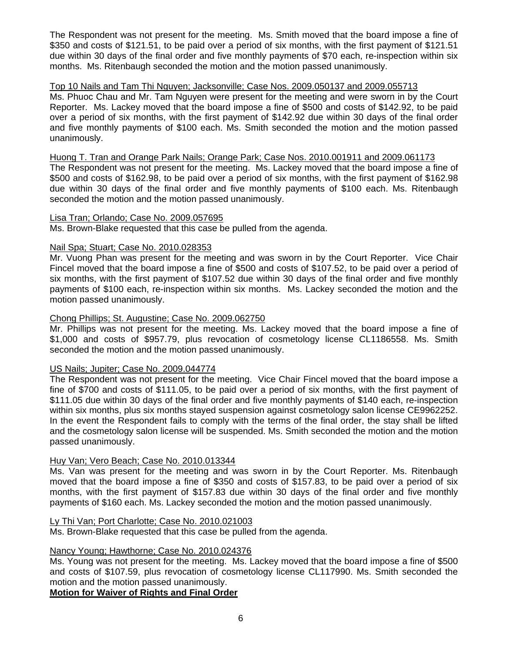The Respondent was not present for the meeting. Ms. Smith moved that the board impose a fine of \$350 and costs of \$121.51, to be paid over a period of six months, with the first payment of \$121.51 due within 30 days of the final order and five monthly payments of \$70 each, re-inspection within six months. Ms. Ritenbaugh seconded the motion and the motion passed unanimously.

# Top 10 Nails and Tam Thi Nguyen; Jacksonville; Case Nos. 2009.050137 and 2009.055713

Ms. Phuoc Chau and Mr. Tam Nguyen were present for the meeting and were sworn in by the Court Reporter. Ms. Lackey moved that the board impose a fine of \$500 and costs of \$142.92, to be paid over a period of six months, with the first payment of \$142.92 due within 30 days of the final order and five monthly payments of \$100 each. Ms. Smith seconded the motion and the motion passed unanimously.

# Huong T. Tran and Orange Park Nails; Orange Park; Case Nos. 2010.001911 and 2009.061173

The Respondent was not present for the meeting. Ms. Lackey moved that the board impose a fine of \$500 and costs of \$162.98, to be paid over a period of six months, with the first payment of \$162.98 due within 30 days of the final order and five monthly payments of \$100 each. Ms. Ritenbaugh seconded the motion and the motion passed unanimously.

#### Lisa Tran; Orlando; Case No. 2009.057695

Ms. Brown-Blake requested that this case be pulled from the agenda.

# Nail Spa; Stuart; Case No. 2010.028353

Mr. Vuong Phan was present for the meeting and was sworn in by the Court Reporter. Vice Chair Fincel moved that the board impose a fine of \$500 and costs of \$107.52, to be paid over a period of six months, with the first payment of \$107.52 due within 30 days of the final order and five monthly payments of \$100 each, re-inspection within six months. Ms. Lackey seconded the motion and the motion passed unanimously.

# Chong Phillips; St. Augustine; Case No. 2009.062750

Mr. Phillips was not present for the meeting. Ms. Lackey moved that the board impose a fine of \$1,000 and costs of \$957.79, plus revocation of cosmetology license CL1186558. Ms. Smith seconded the motion and the motion passed unanimously.

# US Nails; Jupiter; Case No. 2009.044774

The Respondent was not present for the meeting. Vice Chair Fincel moved that the board impose a fine of \$700 and costs of \$111.05, to be paid over a period of six months, with the first payment of \$111.05 due within 30 days of the final order and five monthly payments of \$140 each, re-inspection within six months, plus six months stayed suspension against cosmetology salon license CE9962252. In the event the Respondent fails to comply with the terms of the final order, the stay shall be lifted and the cosmetology salon license will be suspended. Ms. Smith seconded the motion and the motion passed unanimously.

# Huy Van; Vero Beach; Case No. 2010.013344

Ms. Van was present for the meeting and was sworn in by the Court Reporter. Ms. Ritenbaugh moved that the board impose a fine of \$350 and costs of \$157.83, to be paid over a period of six months, with the first payment of \$157.83 due within 30 days of the final order and five monthly payments of \$160 each. Ms. Lackey seconded the motion and the motion passed unanimously.

#### Ly Thi Van; Port Charlotte; Case No. 2010.021003

Ms. Brown-Blake requested that this case be pulled from the agenda.

## Nancy Young; Hawthorne; Case No. 2010.024376

Ms. Young was not present for the meeting. Ms. Lackey moved that the board impose a fine of \$500 and costs of \$107.59, plus revocation of cosmetology license CL117990. Ms. Smith seconded the motion and the motion passed unanimously.

**Motion for Waiver of Rights and Final Order**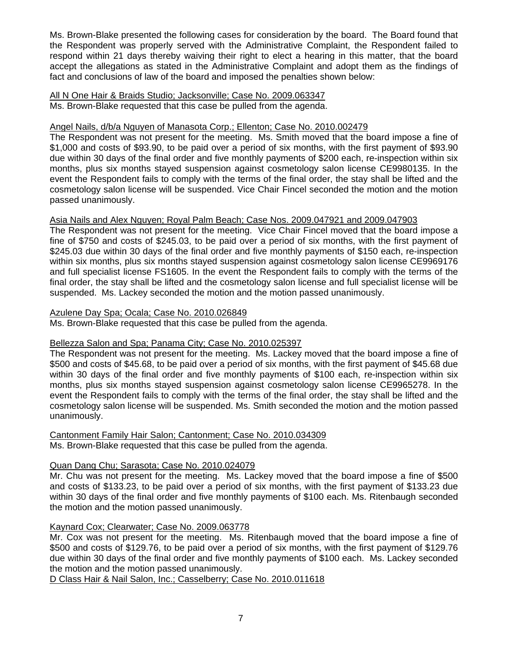Ms. Brown-Blake presented the following cases for consideration by the board. The Board found that the Respondent was properly served with the Administrative Complaint, the Respondent failed to respond within 21 days thereby waiving their right to elect a hearing in this matter, that the board accept the allegations as stated in the Administrative Complaint and adopt them as the findings of fact and conclusions of law of the board and imposed the penalties shown below:

#### All N One Hair & Braids Studio; Jacksonville; Case No. 2009.063347 Ms. Brown-Blake requested that this case be pulled from the agenda.

# Angel Nails, d/b/a Nguyen of Manasota Corp.; Ellenton; Case No. 2010.002479

The Respondent was not present for the meeting. Ms. Smith moved that the board impose a fine of \$1,000 and costs of \$93.90, to be paid over a period of six months, with the first payment of \$93.90 due within 30 days of the final order and five monthly payments of \$200 each, re-inspection within six months, plus six months stayed suspension against cosmetology salon license CE9980135. In the event the Respondent fails to comply with the terms of the final order, the stay shall be lifted and the cosmetology salon license will be suspended. Vice Chair Fincel seconded the motion and the motion passed unanimously.

# Asia Nails and Alex Nguyen; Royal Palm Beach; Case Nos. 2009.047921 and 2009.047903

The Respondent was not present for the meeting. Vice Chair Fincel moved that the board impose a fine of \$750 and costs of \$245.03, to be paid over a period of six months, with the first payment of \$245.03 due within 30 days of the final order and five monthly payments of \$150 each, re-inspection within six months, plus six months stayed suspension against cosmetology salon license CE9969176 and full specialist license FS1605. In the event the Respondent fails to comply with the terms of the final order, the stay shall be lifted and the cosmetology salon license and full specialist license will be suspended. Ms. Lackey seconded the motion and the motion passed unanimously.

# Azulene Day Spa; Ocala; Case No. 2010.026849

Ms. Brown-Blake requested that this case be pulled from the agenda.

# Bellezza Salon and Spa; Panama City; Case No. 2010.025397

The Respondent was not present for the meeting. Ms. Lackey moved that the board impose a fine of \$500 and costs of \$45.68, to be paid over a period of six months, with the first payment of \$45.68 due within 30 days of the final order and five monthly payments of \$100 each, re-inspection within six months, plus six months stayed suspension against cosmetology salon license CE9965278. In the event the Respondent fails to comply with the terms of the final order, the stay shall be lifted and the cosmetology salon license will be suspended. Ms. Smith seconded the motion and the motion passed unanimously.

#### Cantonment Family Hair Salon; Cantonment; Case No. 2010.034309 Ms. Brown-Blake requested that this case be pulled from the agenda.

# Quan Dang Chu; Sarasota; Case No. 2010.024079

Mr. Chu was not present for the meeting. Ms. Lackey moved that the board impose a fine of \$500 and costs of \$133.23, to be paid over a period of six months, with the first payment of \$133.23 due within 30 days of the final order and five monthly payments of \$100 each. Ms. Ritenbaugh seconded the motion and the motion passed unanimously.

# Kaynard Cox; Clearwater; Case No. 2009.063778

Mr. Cox was not present for the meeting. Ms. Ritenbaugh moved that the board impose a fine of \$500 and costs of \$129.76, to be paid over a period of six months, with the first payment of \$129.76 due within 30 days of the final order and five monthly payments of \$100 each. Ms. Lackey seconded the motion and the motion passed unanimously.

D Class Hair & Nail Salon, Inc.; Casselberry; Case No. 2010.011618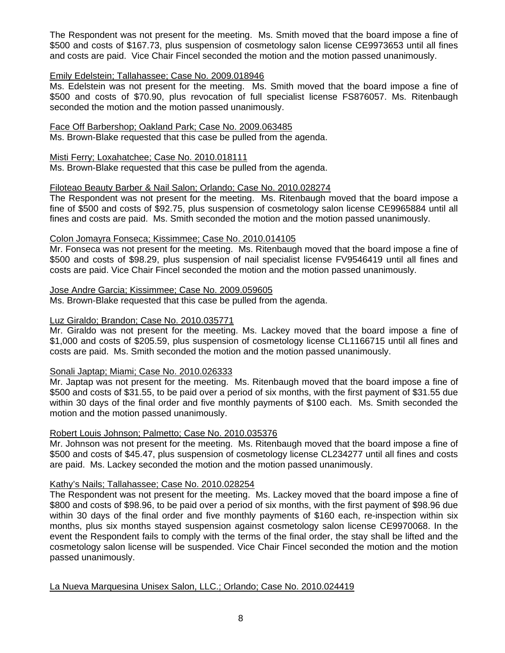The Respondent was not present for the meeting. Ms. Smith moved that the board impose a fine of \$500 and costs of \$167.73, plus suspension of cosmetology salon license CE9973653 until all fines and costs are paid. Vice Chair Fincel seconded the motion and the motion passed unanimously.

# Emily Edelstein; Tallahassee; Case No. 2009.018946

Ms. Edelstein was not present for the meeting. Ms. Smith moved that the board impose a fine of \$500 and costs of \$70.90, plus revocation of full specialist license FS876057. Ms. Ritenbaugh seconded the motion and the motion passed unanimously.

## Face Off Barbershop; Oakland Park; Case No. 2009.063485

Ms. Brown-Blake requested that this case be pulled from the agenda.

## Misti Ferry; Loxahatchee; Case No. 2010.018111

Ms. Brown-Blake requested that this case be pulled from the agenda.

# Filoteao Beauty Barber & Nail Salon; Orlando; Case No. 2010.028274

The Respondent was not present for the meeting. Ms. Ritenbaugh moved that the board impose a fine of \$500 and costs of \$92.75, plus suspension of cosmetology salon license CE9965884 until all fines and costs are paid. Ms. Smith seconded the motion and the motion passed unanimously.

# Colon Jomayra Fonseca; Kissimmee; Case No. 2010.014105

Mr. Fonseca was not present for the meeting. Ms. Ritenbaugh moved that the board impose a fine of \$500 and costs of \$98.29, plus suspension of nail specialist license FV9546419 until all fines and costs are paid. Vice Chair Fincel seconded the motion and the motion passed unanimously.

# Jose Andre Garcia; Kissimmee; Case No. 2009.059605

Ms. Brown-Blake requested that this case be pulled from the agenda.

# Luz Giraldo; Brandon; Case No. 2010.035771

Mr. Giraldo was not present for the meeting. Ms. Lackey moved that the board impose a fine of \$1,000 and costs of \$205.59, plus suspension of cosmetology license CL1166715 until all fines and costs are paid. Ms. Smith seconded the motion and the motion passed unanimously.

# Sonali Japtap; Miami; Case No. 2010.026333

Mr. Japtap was not present for the meeting. Ms. Ritenbaugh moved that the board impose a fine of \$500 and costs of \$31.55, to be paid over a period of six months, with the first payment of \$31.55 due within 30 days of the final order and five monthly payments of \$100 each. Ms. Smith seconded the motion and the motion passed unanimously.

#### Robert Louis Johnson; Palmetto; Case No. 2010.035376

Mr. Johnson was not present for the meeting. Ms. Ritenbaugh moved that the board impose a fine of \$500 and costs of \$45.47, plus suspension of cosmetology license CL234277 until all fines and costs are paid. Ms. Lackey seconded the motion and the motion passed unanimously.

# Kathy's Nails; Tallahassee; Case No. 2010.028254

The Respondent was not present for the meeting. Ms. Lackey moved that the board impose a fine of \$800 and costs of \$98.96, to be paid over a period of six months, with the first payment of \$98.96 due within 30 days of the final order and five monthly payments of \$160 each, re-inspection within six months, plus six months stayed suspension against cosmetology salon license CE9970068. In the event the Respondent fails to comply with the terms of the final order, the stay shall be lifted and the cosmetology salon license will be suspended. Vice Chair Fincel seconded the motion and the motion passed unanimously.

La Nueva Marquesina Unisex Salon, LLC.; Orlando; Case No. 2010.024419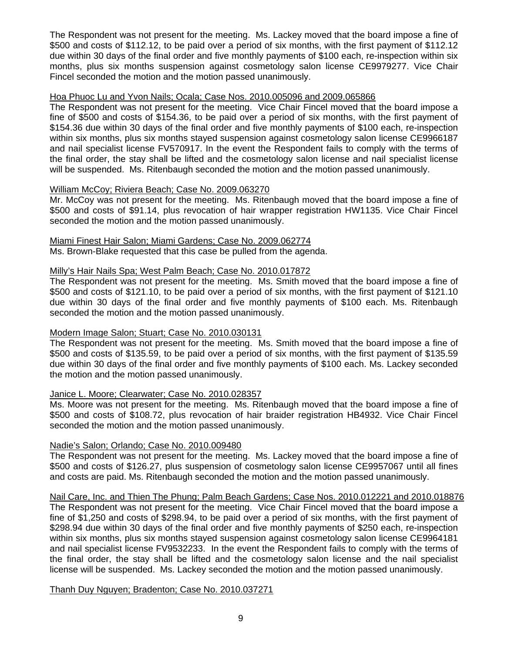The Respondent was not present for the meeting. Ms. Lackey moved that the board impose a fine of \$500 and costs of \$112.12, to be paid over a period of six months, with the first payment of \$112.12 due within 30 days of the final order and five monthly payments of \$100 each, re-inspection within six months, plus six months suspension against cosmetology salon license CE9979277. Vice Chair Fincel seconded the motion and the motion passed unanimously.

# Hoa Phuoc Lu and Yvon Nails; Ocala; Case Nos. 2010.005096 and 2009.065866

The Respondent was not present for the meeting. Vice Chair Fincel moved that the board impose a fine of \$500 and costs of \$154.36, to be paid over a period of six months, with the first payment of \$154.36 due within 30 days of the final order and five monthly payments of \$100 each, re-inspection within six months, plus six months stayed suspension against cosmetology salon license CE9966187 and nail specialist license FV570917. In the event the Respondent fails to comply with the terms of the final order, the stay shall be lifted and the cosmetology salon license and nail specialist license will be suspended. Ms. Ritenbaugh seconded the motion and the motion passed unanimously.

# William McCoy; Riviera Beach; Case No. 2009.063270

Mr. McCoy was not present for the meeting. Ms. Ritenbaugh moved that the board impose a fine of \$500 and costs of \$91.14, plus revocation of hair wrapper registration HW1135. Vice Chair Fincel seconded the motion and the motion passed unanimously.

#### Miami Finest Hair Salon; Miami Gardens; Case No. 2009.062774

Ms. Brown-Blake requested that this case be pulled from the agenda.

# Milly's Hair Nails Spa; West Palm Beach; Case No. 2010.017872

The Respondent was not present for the meeting. Ms. Smith moved that the board impose a fine of \$500 and costs of \$121.10, to be paid over a period of six months, with the first payment of \$121.10 due within 30 days of the final order and five monthly payments of \$100 each. Ms. Ritenbaugh seconded the motion and the motion passed unanimously.

#### Modern Image Salon; Stuart; Case No. 2010.030131

The Respondent was not present for the meeting. Ms. Smith moved that the board impose a fine of \$500 and costs of \$135.59, to be paid over a period of six months, with the first payment of \$135.59 due within 30 days of the final order and five monthly payments of \$100 each. Ms. Lackey seconded the motion and the motion passed unanimously.

# Janice L. Moore; Clearwater; Case No. 2010.028357

Ms. Moore was not present for the meeting. Ms. Ritenbaugh moved that the board impose a fine of \$500 and costs of \$108.72, plus revocation of hair braider registration HB4932. Vice Chair Fincel seconded the motion and the motion passed unanimously.

# Nadie's Salon; Orlando; Case No. 2010.009480

The Respondent was not present for the meeting. Ms. Lackey moved that the board impose a fine of \$500 and costs of \$126.27, plus suspension of cosmetology salon license CE9957067 until all fines and costs are paid. Ms. Ritenbaugh seconded the motion and the motion passed unanimously.

# Nail Care, Inc. and Thien The Phung; Palm Beach Gardens; Case Nos. 2010.012221 and 2010.018876

The Respondent was not present for the meeting. Vice Chair Fincel moved that the board impose a fine of \$1,250 and costs of \$298.94, to be paid over a period of six months, with the first payment of \$298.94 due within 30 days of the final order and five monthly payments of \$250 each, re-inspection within six months, plus six months stayed suspension against cosmetology salon license CE9964181 and nail specialist license FV9532233. In the event the Respondent fails to comply with the terms of the final order, the stay shall be lifted and the cosmetology salon license and the nail specialist license will be suspended. Ms. Lackey seconded the motion and the motion passed unanimously.

# Thanh Duy Nguyen; Bradenton; Case No. 2010.037271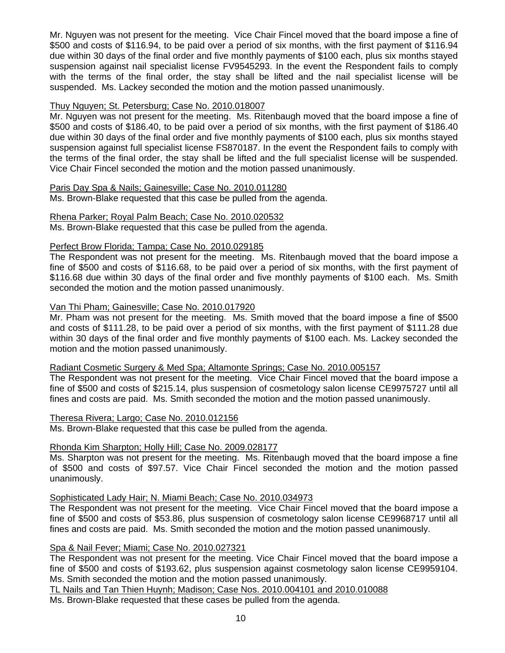Mr. Nguyen was not present for the meeting. Vice Chair Fincel moved that the board impose a fine of \$500 and costs of \$116.94, to be paid over a period of six months, with the first payment of \$116.94 due within 30 days of the final order and five monthly payments of \$100 each, plus six months stayed suspension against nail specialist license FV9545293. In the event the Respondent fails to comply with the terms of the final order, the stay shall be lifted and the nail specialist license will be suspended. Ms. Lackey seconded the motion and the motion passed unanimously.

# Thuy Nguyen; St. Petersburg; Case No. 2010.018007

Mr. Nguyen was not present for the meeting. Ms. Ritenbaugh moved that the board impose a fine of \$500 and costs of \$186.40, to be paid over a period of six months, with the first payment of \$186.40 due within 30 days of the final order and five monthly payments of \$100 each, plus six months stayed suspension against full specialist license FS870187. In the event the Respondent fails to comply with the terms of the final order, the stay shall be lifted and the full specialist license will be suspended. Vice Chair Fincel seconded the motion and the motion passed unanimously.

# Paris Day Spa & Nails; Gainesville; Case No. 2010.011280

Ms. Brown-Blake requested that this case be pulled from the agenda.

# Rhena Parker; Royal Palm Beach; Case No. 2010.020532

Ms. Brown-Blake requested that this case be pulled from the agenda.

# Perfect Brow Florida; Tampa; Case No. 2010.029185

The Respondent was not present for the meeting. Ms. Ritenbaugh moved that the board impose a fine of \$500 and costs of \$116.68, to be paid over a period of six months, with the first payment of \$116.68 due within 30 days of the final order and five monthly payments of \$100 each. Ms. Smith seconded the motion and the motion passed unanimously.

# Van Thi Pham; Gainesville; Case No. 2010.017920

Mr. Pham was not present for the meeting. Ms. Smith moved that the board impose a fine of \$500 and costs of \$111.28, to be paid over a period of six months, with the first payment of \$111.28 due within 30 days of the final order and five monthly payments of \$100 each. Ms. Lackey seconded the motion and the motion passed unanimously.

# Radiant Cosmetic Surgery & Med Spa; Altamonte Springs; Case No. 2010.005157

The Respondent was not present for the meeting. Vice Chair Fincel moved that the board impose a fine of \$500 and costs of \$215.14, plus suspension of cosmetology salon license CE9975727 until all fines and costs are paid. Ms. Smith seconded the motion and the motion passed unanimously.

# Theresa Rivera; Largo; Case No. 2010.012156

Ms. Brown-Blake requested that this case be pulled from the agenda.

# Rhonda Kim Sharpton; Holly Hill; Case No. 2009.028177

Ms. Sharpton was not present for the meeting. Ms. Ritenbaugh moved that the board impose a fine of \$500 and costs of \$97.57. Vice Chair Fincel seconded the motion and the motion passed unanimously.

# Sophisticated Lady Hair; N. Miami Beach; Case No. 2010.034973

The Respondent was not present for the meeting. Vice Chair Fincel moved that the board impose a fine of \$500 and costs of \$53.86, plus suspension of cosmetology salon license CE9968717 until all fines and costs are paid. Ms. Smith seconded the motion and the motion passed unanimously.

# Spa & Nail Fever; Miami; Case No. 2010.027321

The Respondent was not present for the meeting. Vice Chair Fincel moved that the board impose a fine of \$500 and costs of \$193.62, plus suspension against cosmetology salon license CE9959104. Ms. Smith seconded the motion and the motion passed unanimously.

TL Nails and Tan Thien Huynh; Madison; Case Nos. 2010.004101 and 2010.010088

Ms. Brown-Blake requested that these cases be pulled from the agenda.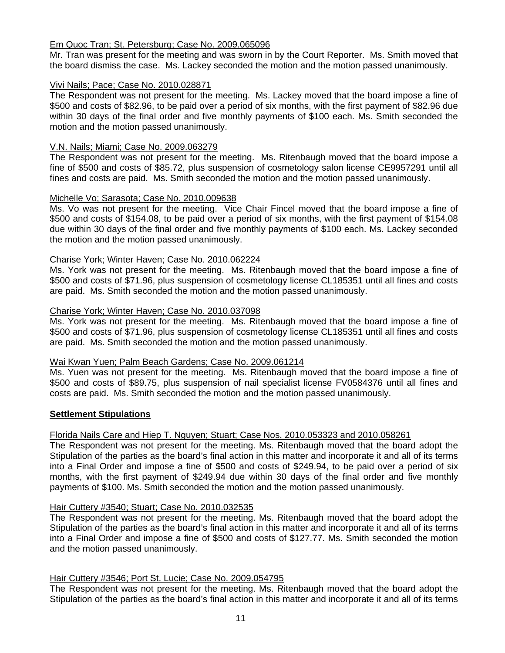# Em Quoc Tran; St. Petersburg; Case No. 2009.065096

Mr. Tran was present for the meeting and was sworn in by the Court Reporter. Ms. Smith moved that the board dismiss the case. Ms. Lackey seconded the motion and the motion passed unanimously.

# Vivi Nails; Pace; Case No. 2010.028871

The Respondent was not present for the meeting. Ms. Lackey moved that the board impose a fine of \$500 and costs of \$82.96, to be paid over a period of six months, with the first payment of \$82.96 due within 30 days of the final order and five monthly payments of \$100 each. Ms. Smith seconded the motion and the motion passed unanimously.

# V.N. Nails; Miami; Case No. 2009.063279

The Respondent was not present for the meeting. Ms. Ritenbaugh moved that the board impose a fine of \$500 and costs of \$85.72, plus suspension of cosmetology salon license CE9957291 until all fines and costs are paid. Ms. Smith seconded the motion and the motion passed unanimously.

# Michelle Vo; Sarasota; Case No. 2010.009638

Ms. Vo was not present for the meeting. Vice Chair Fincel moved that the board impose a fine of \$500 and costs of \$154.08, to be paid over a period of six months, with the first payment of \$154.08 due within 30 days of the final order and five monthly payments of \$100 each. Ms. Lackey seconded the motion and the motion passed unanimously.

# Charise York; Winter Haven; Case No. 2010.062224

Ms. York was not present for the meeting. Ms. Ritenbaugh moved that the board impose a fine of \$500 and costs of \$71.96, plus suspension of cosmetology license CL185351 until all fines and costs are paid. Ms. Smith seconded the motion and the motion passed unanimously.

# Charise York; Winter Haven; Case No. 2010.037098

Ms. York was not present for the meeting. Ms. Ritenbaugh moved that the board impose a fine of \$500 and costs of \$71.96, plus suspension of cosmetology license CL185351 until all fines and costs are paid. Ms. Smith seconded the motion and the motion passed unanimously.

#### Wai Kwan Yuen; Palm Beach Gardens; Case No. 2009.061214

Ms. Yuen was not present for the meeting. Ms. Ritenbaugh moved that the board impose a fine of \$500 and costs of \$89.75, plus suspension of nail specialist license FV0584376 until all fines and costs are paid. Ms. Smith seconded the motion and the motion passed unanimously.

# **Settlement Stipulations**

# Florida Nails Care and Hiep T. Nguyen; Stuart; Case Nos. 2010.053323 and 2010.058261

The Respondent was not present for the meeting. Ms. Ritenbaugh moved that the board adopt the Stipulation of the parties as the board's final action in this matter and incorporate it and all of its terms into a Final Order and impose a fine of \$500 and costs of \$249.94, to be paid over a period of six months, with the first payment of \$249.94 due within 30 days of the final order and five monthly payments of \$100. Ms. Smith seconded the motion and the motion passed unanimously.

#### Hair Cuttery #3540; Stuart; Case No. 2010.032535

The Respondent was not present for the meeting. Ms. Ritenbaugh moved that the board adopt the Stipulation of the parties as the board's final action in this matter and incorporate it and all of its terms into a Final Order and impose a fine of \$500 and costs of \$127.77. Ms. Smith seconded the motion and the motion passed unanimously.

#### Hair Cuttery #3546; Port St. Lucie; Case No. 2009.054795

The Respondent was not present for the meeting. Ms. Ritenbaugh moved that the board adopt the Stipulation of the parties as the board's final action in this matter and incorporate it and all of its terms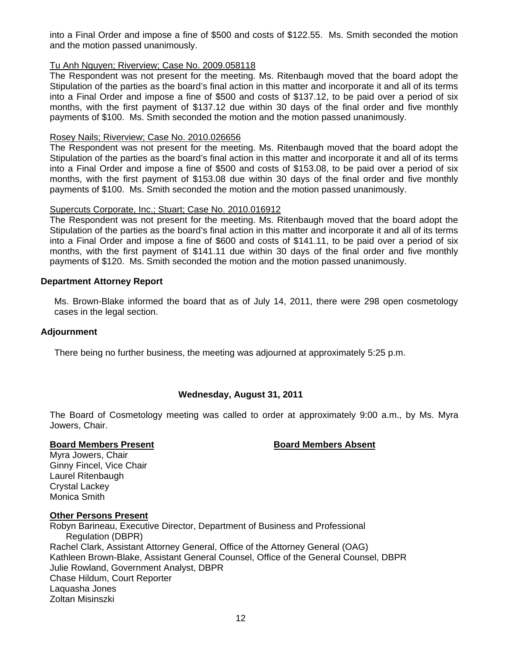into a Final Order and impose a fine of \$500 and costs of \$122.55. Ms. Smith seconded the motion and the motion passed unanimously.

# Tu Anh Nguyen; Riverview; Case No. 2009.058118

The Respondent was not present for the meeting. Ms. Ritenbaugh moved that the board adopt the Stipulation of the parties as the board's final action in this matter and incorporate it and all of its terms into a Final Order and impose a fine of \$500 and costs of \$137.12, to be paid over a period of six months, with the first payment of \$137.12 due within 30 days of the final order and five monthly payments of \$100. Ms. Smith seconded the motion and the motion passed unanimously.

## Rosey Nails; Riverview; Case No. 2010.026656

The Respondent was not present for the meeting. Ms. Ritenbaugh moved that the board adopt the Stipulation of the parties as the board's final action in this matter and incorporate it and all of its terms into a Final Order and impose a fine of \$500 and costs of \$153.08, to be paid over a period of six months, with the first payment of \$153.08 due within 30 days of the final order and five monthly payments of \$100. Ms. Smith seconded the motion and the motion passed unanimously.

#### Supercuts Corporate, Inc.; Stuart; Case No. 2010.016912

The Respondent was not present for the meeting. Ms. Ritenbaugh moved that the board adopt the Stipulation of the parties as the board's final action in this matter and incorporate it and all of its terms into a Final Order and impose a fine of \$600 and costs of \$141.11, to be paid over a period of six months, with the first payment of \$141.11 due within 30 days of the final order and five monthly payments of \$120. Ms. Smith seconded the motion and the motion passed unanimously.

# **Department Attorney Report**

Ms. Brown-Blake informed the board that as of July 14, 2011, there were 298 open cosmetology cases in the legal section.

#### **Adjournment**

There being no further business, the meeting was adjourned at approximately 5:25 p.m.

# **Wednesday, August 31, 2011**

The Board of Cosmetology meeting was called to order at approximately 9:00 a.m., by Ms. Myra Jowers, Chair.

#### **Board Members Present Communist Board Members Absent**

Myra Jowers, Chair Ginny Fincel, Vice Chair Laurel Ritenbaugh Crystal Lackey Monica Smith

#### **Other Persons Present**

Robyn Barineau, Executive Director, Department of Business and Professional Regulation (DBPR) Rachel Clark, Assistant Attorney General, Office of the Attorney General (OAG) Kathleen Brown-Blake, Assistant General Counsel, Office of the General Counsel, DBPR Julie Rowland, Government Analyst, DBPR Chase Hildum, Court Reporter Laquasha Jones Zoltan Misinszki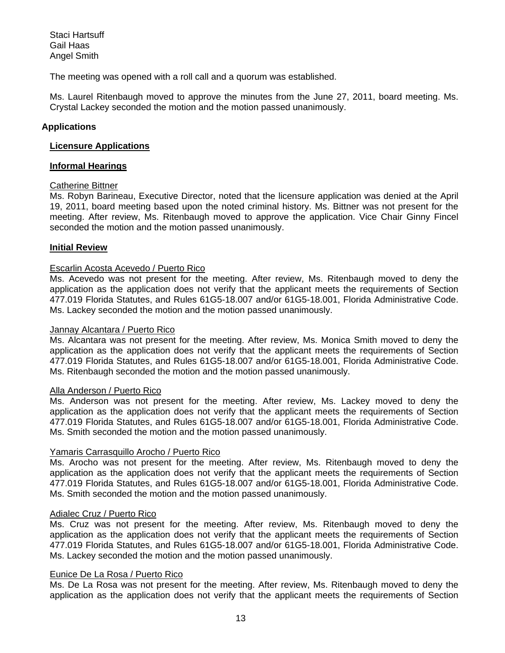Staci Hartsuff Gail Haas Angel Smith

The meeting was opened with a roll call and a quorum was established.

Ms. Laurel Ritenbaugh moved to approve the minutes from the June 27, 2011, board meeting. Ms. Crystal Lackey seconded the motion and the motion passed unanimously.

# **Applications**

#### **Licensure Applications**

# **Informal Hearings**

# Catherine Bittner

Ms. Robyn Barineau, Executive Director, noted that the licensure application was denied at the April 19, 2011, board meeting based upon the noted criminal history. Ms. Bittner was not present for the meeting. After review, Ms. Ritenbaugh moved to approve the application. Vice Chair Ginny Fincel seconded the motion and the motion passed unanimously.

# **Initial Review**

#### Escarlin Acosta Acevedo / Puerto Rico

Ms. Acevedo was not present for the meeting. After review, Ms. Ritenbaugh moved to deny the application as the application does not verify that the applicant meets the requirements of Section 477.019 Florida Statutes, and Rules 61G5-18.007 and/or 61G5-18.001, Florida Administrative Code. Ms. Lackey seconded the motion and the motion passed unanimously.

#### Jannay Alcantara / Puerto Rico

Ms. Alcantara was not present for the meeting. After review, Ms. Monica Smith moved to deny the application as the application does not verify that the applicant meets the requirements of Section 477.019 Florida Statutes, and Rules 61G5-18.007 and/or 61G5-18.001, Florida Administrative Code. Ms. Ritenbaugh seconded the motion and the motion passed unanimously.

#### Alla Anderson / Puerto Rico

Ms. Anderson was not present for the meeting. After review, Ms. Lackey moved to deny the application as the application does not verify that the applicant meets the requirements of Section 477.019 Florida Statutes, and Rules 61G5-18.007 and/or 61G5-18.001, Florida Administrative Code. Ms. Smith seconded the motion and the motion passed unanimously.

# Yamaris Carrasquillo Arocho / Puerto Rico

Ms. Arocho was not present for the meeting. After review, Ms. Ritenbaugh moved to deny the application as the application does not verify that the applicant meets the requirements of Section 477.019 Florida Statutes, and Rules 61G5-18.007 and/or 61G5-18.001, Florida Administrative Code. Ms. Smith seconded the motion and the motion passed unanimously.

#### Adialec Cruz / Puerto Rico

Ms. Cruz was not present for the meeting. After review, Ms. Ritenbaugh moved to deny the application as the application does not verify that the applicant meets the requirements of Section 477.019 Florida Statutes, and Rules 61G5-18.007 and/or 61G5-18.001, Florida Administrative Code. Ms. Lackey seconded the motion and the motion passed unanimously.

#### Eunice De La Rosa / Puerto Rico

Ms. De La Rosa was not present for the meeting. After review, Ms. Ritenbaugh moved to deny the application as the application does not verify that the applicant meets the requirements of Section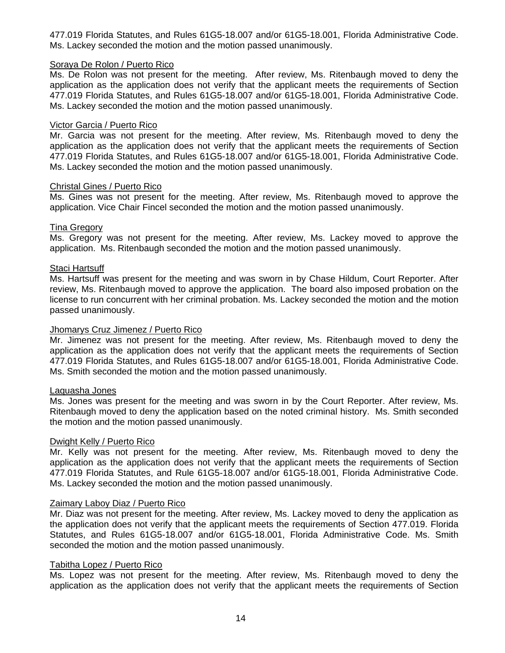477.019 Florida Statutes, and Rules 61G5-18.007 and/or 61G5-18.001, Florida Administrative Code. Ms. Lackey seconded the motion and the motion passed unanimously.

# Soraya De Rolon / Puerto Rico

Ms. De Rolon was not present for the meeting. After review, Ms. Ritenbaugh moved to deny the application as the application does not verify that the applicant meets the requirements of Section 477.019 Florida Statutes, and Rules 61G5-18.007 and/or 61G5-18.001, Florida Administrative Code. Ms. Lackey seconded the motion and the motion passed unanimously.

## Victor Garcia / Puerto Rico

Mr. Garcia was not present for the meeting. After review, Ms. Ritenbaugh moved to deny the application as the application does not verify that the applicant meets the requirements of Section 477.019 Florida Statutes, and Rules 61G5-18.007 and/or 61G5-18.001, Florida Administrative Code. Ms. Lackey seconded the motion and the motion passed unanimously.

# Christal Gines / Puerto Rico

Ms. Gines was not present for the meeting. After review, Ms. Ritenbaugh moved to approve the application. Vice Chair Fincel seconded the motion and the motion passed unanimously.

# Tina Gregory

Ms. Gregory was not present for the meeting. After review, Ms. Lackey moved to approve the application. Ms. Ritenbaugh seconded the motion and the motion passed unanimously.

# Staci Hartsuff

Ms. Hartsuff was present for the meeting and was sworn in by Chase Hildum, Court Reporter. After review, Ms. Ritenbaugh moved to approve the application. The board also imposed probation on the license to run concurrent with her criminal probation. Ms. Lackey seconded the motion and the motion passed unanimously.

#### Jhomarys Cruz Jimenez / Puerto Rico

Mr. Jimenez was not present for the meeting. After review, Ms. Ritenbaugh moved to deny the application as the application does not verify that the applicant meets the requirements of Section 477.019 Florida Statutes, and Rules 61G5-18.007 and/or 61G5-18.001, Florida Administrative Code. Ms. Smith seconded the motion and the motion passed unanimously.

#### Laquasha Jones

Ms. Jones was present for the meeting and was sworn in by the Court Reporter. After review, Ms. Ritenbaugh moved to deny the application based on the noted criminal history. Ms. Smith seconded the motion and the motion passed unanimously.

#### Dwight Kelly / Puerto Rico

Mr. Kelly was not present for the meeting. After review, Ms. Ritenbaugh moved to deny the application as the application does not verify that the applicant meets the requirements of Section 477.019 Florida Statutes, and Rule 61G5-18.007 and/or 61G5-18.001, Florida Administrative Code. Ms. Lackey seconded the motion and the motion passed unanimously.

#### Zaimary Laboy Diaz / Puerto Rico

Mr. Diaz was not present for the meeting. After review, Ms. Lackey moved to deny the application as the application does not verify that the applicant meets the requirements of Section 477.019. Florida Statutes, and Rules 61G5-18.007 and/or 61G5-18.001, Florida Administrative Code. Ms. Smith seconded the motion and the motion passed unanimously.

#### Tabitha Lopez / Puerto Rico

Ms. Lopez was not present for the meeting. After review, Ms. Ritenbaugh moved to deny the application as the application does not verify that the applicant meets the requirements of Section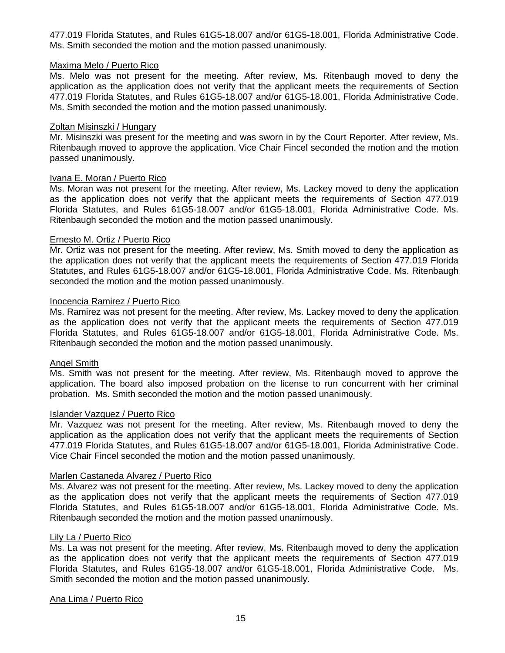477.019 Florida Statutes, and Rules 61G5-18.007 and/or 61G5-18.001, Florida Administrative Code. Ms. Smith seconded the motion and the motion passed unanimously.

# Maxima Melo / Puerto Rico

Ms. Melo was not present for the meeting. After review, Ms. Ritenbaugh moved to deny the application as the application does not verify that the applicant meets the requirements of Section 477.019 Florida Statutes, and Rules 61G5-18.007 and/or 61G5-18.001, Florida Administrative Code. Ms. Smith seconded the motion and the motion passed unanimously.

## Zoltan Misinszki / Hungary

Mr. Misinszki was present for the meeting and was sworn in by the Court Reporter. After review, Ms. Ritenbaugh moved to approve the application. Vice Chair Fincel seconded the motion and the motion passed unanimously.

# Ivana E. Moran / Puerto Rico

Ms. Moran was not present for the meeting. After review, Ms. Lackey moved to deny the application as the application does not verify that the applicant meets the requirements of Section 477.019 Florida Statutes, and Rules 61G5-18.007 and/or 61G5-18.001, Florida Administrative Code. Ms. Ritenbaugh seconded the motion and the motion passed unanimously.

# Ernesto M. Ortiz / Puerto Rico

Mr. Ortiz was not present for the meeting. After review, Ms. Smith moved to deny the application as the application does not verify that the applicant meets the requirements of Section 477.019 Florida Statutes, and Rules 61G5-18.007 and/or 61G5-18.001, Florida Administrative Code. Ms. Ritenbaugh seconded the motion and the motion passed unanimously.

#### Inocencia Ramirez / Puerto Rico

Ms. Ramirez was not present for the meeting. After review, Ms. Lackey moved to deny the application as the application does not verify that the applicant meets the requirements of Section 477.019 Florida Statutes, and Rules 61G5-18.007 and/or 61G5-18.001, Florida Administrative Code. Ms. Ritenbaugh seconded the motion and the motion passed unanimously.

#### Angel Smith

Ms. Smith was not present for the meeting. After review, Ms. Ritenbaugh moved to approve the application. The board also imposed probation on the license to run concurrent with her criminal probation. Ms. Smith seconded the motion and the motion passed unanimously.

#### Islander Vazquez / Puerto Rico

Mr. Vazquez was not present for the meeting. After review, Ms. Ritenbaugh moved to deny the application as the application does not verify that the applicant meets the requirements of Section 477.019 Florida Statutes, and Rules 61G5-18.007 and/or 61G5-18.001, Florida Administrative Code. Vice Chair Fincel seconded the motion and the motion passed unanimously.

# Marlen Castaneda Alvarez / Puerto Rico

Ms. Alvarez was not present for the meeting. After review, Ms. Lackey moved to deny the application as the application does not verify that the applicant meets the requirements of Section 477.019 Florida Statutes, and Rules 61G5-18.007 and/or 61G5-18.001, Florida Administrative Code. Ms. Ritenbaugh seconded the motion and the motion passed unanimously.

#### Lily La / Puerto Rico

Ms. La was not present for the meeting. After review, Ms. Ritenbaugh moved to deny the application as the application does not verify that the applicant meets the requirements of Section 477.019 Florida Statutes, and Rules 61G5-18.007 and/or 61G5-18.001, Florida Administrative Code. Ms. Smith seconded the motion and the motion passed unanimously.

#### Ana Lima / Puerto Rico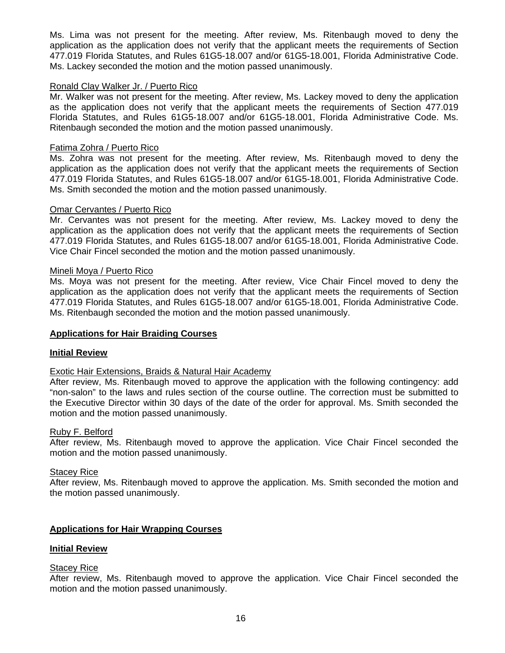Ms. Lima was not present for the meeting. After review, Ms. Ritenbaugh moved to deny the application as the application does not verify that the applicant meets the requirements of Section 477.019 Florida Statutes, and Rules 61G5-18.007 and/or 61G5-18.001, Florida Administrative Code. Ms. Lackey seconded the motion and the motion passed unanimously.

#### Ronald Clay Walker Jr. / Puerto Rico

Mr. Walker was not present for the meeting. After review, Ms. Lackey moved to deny the application as the application does not verify that the applicant meets the requirements of Section 477.019 Florida Statutes, and Rules 61G5-18.007 and/or 61G5-18.001, Florida Administrative Code. Ms. Ritenbaugh seconded the motion and the motion passed unanimously.

#### Fatima Zohra / Puerto Rico

Ms. Zohra was not present for the meeting. After review, Ms. Ritenbaugh moved to deny the application as the application does not verify that the applicant meets the requirements of Section 477.019 Florida Statutes, and Rules 61G5-18.007 and/or 61G5-18.001, Florida Administrative Code. Ms. Smith seconded the motion and the motion passed unanimously.

#### Omar Cervantes / Puerto Rico

Mr. Cervantes was not present for the meeting. After review, Ms. Lackey moved to deny the application as the application does not verify that the applicant meets the requirements of Section 477.019 Florida Statutes, and Rules 61G5-18.007 and/or 61G5-18.001, Florida Administrative Code. Vice Chair Fincel seconded the motion and the motion passed unanimously.

#### Mineli Moya / Puerto Rico

Ms. Moya was not present for the meeting. After review, Vice Chair Fincel moved to deny the application as the application does not verify that the applicant meets the requirements of Section 477.019 Florida Statutes, and Rules 61G5-18.007 and/or 61G5-18.001, Florida Administrative Code. Ms. Ritenbaugh seconded the motion and the motion passed unanimously.

#### **Applications for Hair Braiding Courses**

#### **Initial Review**

#### Exotic Hair Extensions, Braids & Natural Hair Academy

After review, Ms. Ritenbaugh moved to approve the application with the following contingency: add "non-salon" to the laws and rules section of the course outline. The correction must be submitted to the Executive Director within 30 days of the date of the order for approval. Ms. Smith seconded the motion and the motion passed unanimously.

#### Ruby F. Belford

After review, Ms. Ritenbaugh moved to approve the application. Vice Chair Fincel seconded the motion and the motion passed unanimously.

#### Stacey Rice

After review, Ms. Ritenbaugh moved to approve the application. Ms. Smith seconded the motion and the motion passed unanimously.

#### **Applications for Hair Wrapping Courses**

#### **Initial Review**

#### Stacey Rice

After review, Ms. Ritenbaugh moved to approve the application. Vice Chair Fincel seconded the motion and the motion passed unanimously.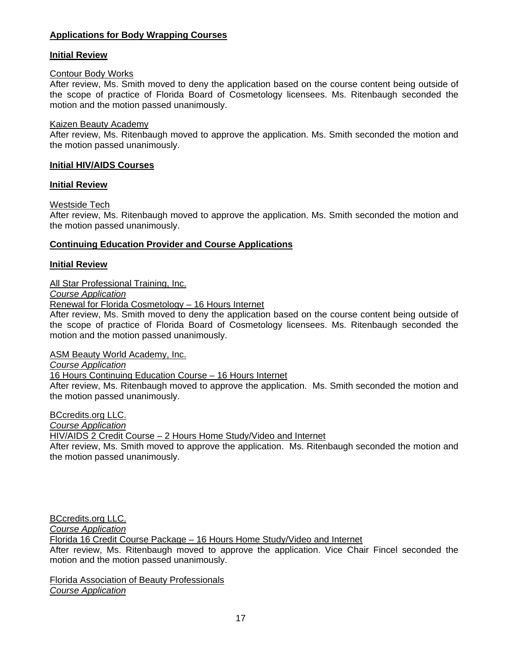# **Applications for Body Wrapping Courses**

# **Initial Review**

# Contour Body Works

After review, Ms. Smith moved to deny the application based on the course content being outside of the scope of practice of Florida Board of Cosmetology licensees. Ms. Ritenbaugh seconded the motion and the motion passed unanimously.

## Kaizen Beauty Academy

After review, Ms. Ritenbaugh moved to approve the application. Ms. Smith seconded the motion and the motion passed unanimously.

# **Initial HIV/AIDS Courses**

# **Initial Review**

# Westside Tech

After review, Ms. Ritenbaugh moved to approve the application. Ms. Smith seconded the motion and the motion passed unanimously.

# **Continuing Education Provider and Course Applications**

# **Initial Review**

All Star Professional Training, Inc.

*Course Application*

Renewal for Florida Cosmetology – 16 Hours Internet

After review, Ms. Smith moved to deny the application based on the course content being outside of the scope of practice of Florida Board of Cosmetology licensees. Ms. Ritenbaugh seconded the motion and the motion passed unanimously.

ASM Beauty World Academy, Inc.

*Course Application* 

16 Hours Continuing Education Course – 16 Hours Internet

After review, Ms. Ritenbaugh moved to approve the application. Ms. Smith seconded the motion and the motion passed unanimously.

BCcredits.org LLC.

*Course Application* 

HIV/AIDS 2 Credit Course – 2 Hours Home Study/Video and Internet

After review, Ms. Smith moved to approve the application. Ms. Ritenbaugh seconded the motion and the motion passed unanimously.

BCcredits.org LLC.

*Course Application* 

Florida 16 Credit Course Package – 16 Hours Home Study/Video and Internet

After review, Ms. Ritenbaugh moved to approve the application. Vice Chair Fincel seconded the motion and the motion passed unanimously.

Florida Association of Beauty Professionals *Course Application*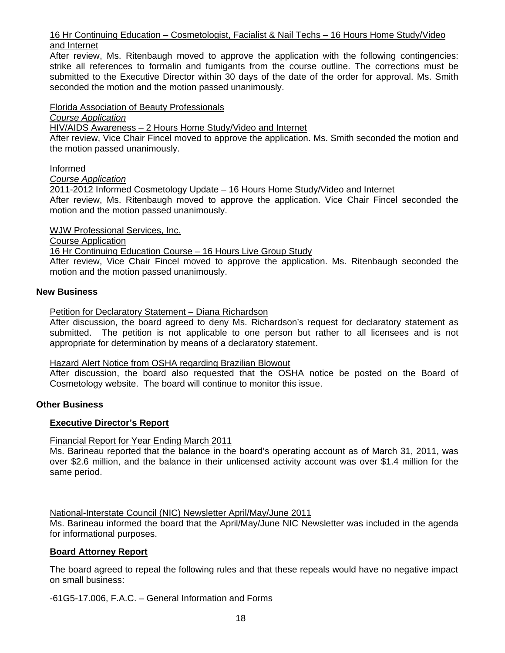# 16 Hr Continuing Education – Cosmetologist, Facialist & Nail Techs – 16 Hours Home Study/Video and Internet

After review, Ms. Ritenbaugh moved to approve the application with the following contingencies: strike all references to formalin and fumigants from the course outline. The corrections must be submitted to the Executive Director within 30 days of the date of the order for approval. Ms. Smith seconded the motion and the motion passed unanimously.

# Florida Association of Beauty Professionals

*Course Application* 

HIV/AIDS Awareness – 2 Hours Home Study/Video and Internet

After review, Vice Chair Fincel moved to approve the application. Ms. Smith seconded the motion and the motion passed unanimously.

# Informed

*Course Application* 

2011-2012 Informed Cosmetology Update – 16 Hours Home Study/Video and Internet

After review, Ms. Ritenbaugh moved to approve the application. Vice Chair Fincel seconded the motion and the motion passed unanimously.

WJW Professional Services, Inc.

Course Application

16 Hr Continuing Education Course – 16 Hours Live Group Study

After review, Vice Chair Fincel moved to approve the application. Ms. Ritenbaugh seconded the motion and the motion passed unanimously.

# **New Business**

Petition for Declaratory Statement – Diana Richardson

After discussion, the board agreed to deny Ms. Richardson's request for declaratory statement as submitted. The petition is not applicable to one person but rather to all licensees and is not appropriate for determination by means of a declaratory statement.

#### Hazard Alert Notice from OSHA regarding Brazilian Blowout

After discussion, the board also requested that the OSHA notice be posted on the Board of Cosmetology website. The board will continue to monitor this issue.

# **Other Business**

# **Executive Director's Report**

#### Financial Report for Year Ending March 2011

Ms. Barineau reported that the balance in the board's operating account as of March 31, 2011, was over \$2.6 million, and the balance in their unlicensed activity account was over \$1.4 million for the same period.

# National-Interstate Council (NIC) Newsletter April/May/June 2011

Ms. Barineau informed the board that the April/May/June NIC Newsletter was included in the agenda for informational purposes.

# **Board Attorney Report**

The board agreed to repeal the following rules and that these repeals would have no negative impact on small business:

-61G5-17.006, F.A.C. – General Information and Forms